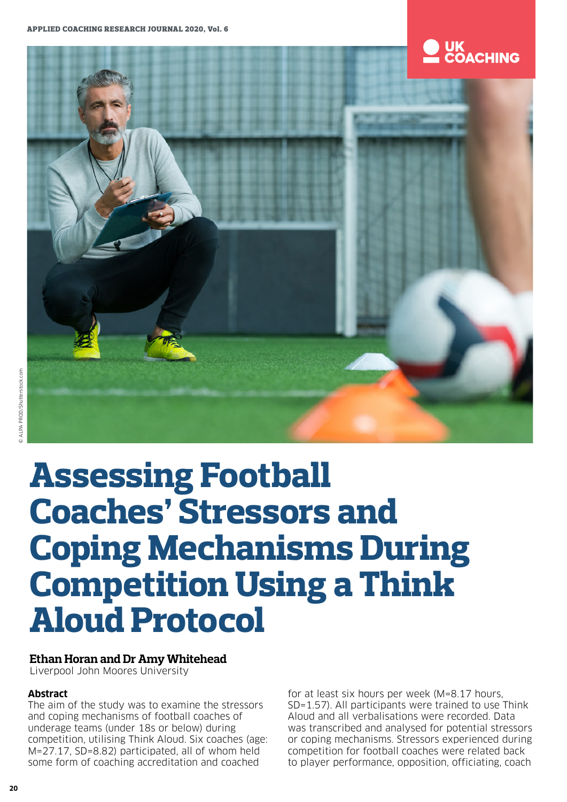## **UK<br>COACHING**



# **Assessing Football Coaches' Stressors and Coping Mechanisms During Competition Using a Think Aloud Protocol**

## **Ethan Horan and Dr Amy Whitehead**

Liverpool John Moores University

## **Abstract**

The aim of the study was to examine the stressors and coping mechanisms of football coaches of underage teams (under 18s or below) during competition, utilising Think Aloud. Six coaches (age: M=27.17, SD=8.82) participated, all of whom held some form of coaching accreditation and coached

for at least six hours per week (M=8.17 hours, SD=1.57). All participants were trained to use Think Aloud and all verbalisations were recorded. Data was transcribed and analysed for potential stressors or coping mechanisms. Stressors experienced during competition for football coaches were related back to player performance, opposition, officiating, coach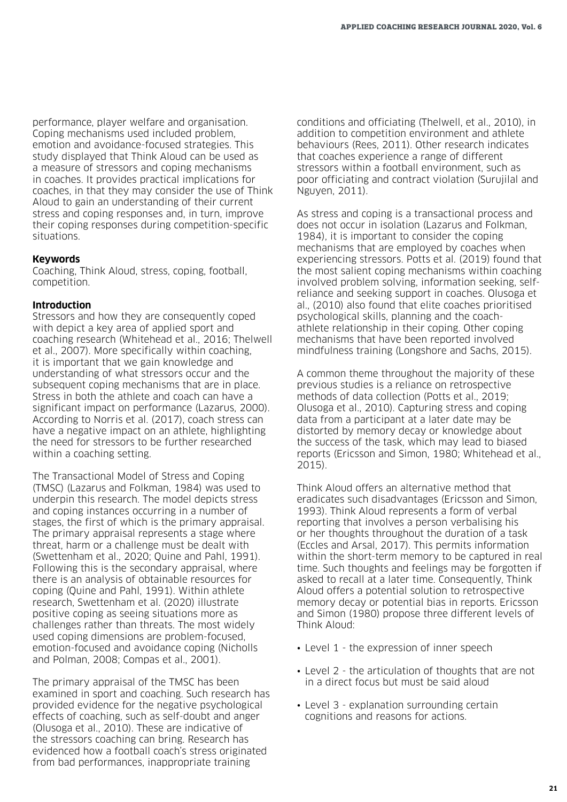performance, player welfare and organisation. Coping mechanisms used included problem, emotion and avoidance-focused strategies. This study displayed that Think Aloud can be used as a measure of stressors and coping mechanisms in coaches. It provides practical implications for coaches, in that they may consider the use of Think Aloud to gain an understanding of their current stress and coping responses and, in turn, improve their coping responses during competition-specific situations.

#### **Keywords**

Coaching, Think Aloud, stress, coping, football, competition.

#### **Introduction**

Stressors and how they are consequently coped with depict a key area of applied sport and coaching research (Whitehead et al., 2016; Thelwell et al., 2007). More specifically within coaching, it is important that we gain knowledge and understanding of what stressors occur and the subsequent coping mechanisms that are in place. Stress in both the athlete and coach can have a significant impact on performance (Lazarus, 2000). According to Norris et al. (2017), coach stress can have a negative impact on an athlete, highlighting the need for stressors to be further researched within a coaching setting.

The Transactional Model of Stress and Coping (TMSC) (Lazarus and Folkman, 1984) was used to underpin this research. The model depicts stress and coping instances occurring in a number of stages, the first of which is the primary appraisal. The primary appraisal represents a stage where threat, harm or a challenge must be dealt with (Swettenham et al., 2020; Quine and Pahl, 1991). Following this is the secondary appraisal, where there is an analysis of obtainable resources for coping (Quine and Pahl, 1991). Within athlete research, Swettenham et al. (2020) illustrate positive coping as seeing situations more as challenges rather than threats. The most widely used coping dimensions are problem-focused, emotion-focused and avoidance coping (Nicholls and Polman, 2008; Compas et al., 2001).

The primary appraisal of the TMSC has been examined in sport and coaching. Such research has provided evidence for the negative psychological effects of coaching, such as self-doubt and anger (Olusoga et al., 2010). These are indicative of the stressors coaching can bring. Research has evidenced how a football coach's stress originated from bad performances, inappropriate training

conditions and officiating (Thelwell, et al., 2010), in addition to competition environment and athlete behaviours (Rees, 2011). Other research indicates that coaches experience a range of different stressors within a football environment, such as poor officiating and contract violation (Surujilal and Nguyen, 2011).

As stress and coping is a transactional process and does not occur in isolation (Lazarus and Folkman, 1984), it is important to consider the coping mechanisms that are employed by coaches when experiencing stressors. Potts et al. (2019) found that the most salient coping mechanisms within coaching involved problem solving, information seeking, selfreliance and seeking support in coaches. Olusoga et al., (2010) also found that elite coaches prioritised psychological skills, planning and the coachathlete relationship in their coping. Other coping mechanisms that have been reported involved mindfulness training (Longshore and Sachs, 2015).

A common theme throughout the majority of these previous studies is a reliance on retrospective methods of data collection (Potts et al., 2019; Olusoga et al., 2010). Capturing stress and coping data from a participant at a later date may be distorted by memory decay or knowledge about the success of the task, which may lead to biased reports (Ericsson and Simon, 1980; Whitehead et al., 2015).

Think Aloud offers an alternative method that eradicates such disadvantages (Ericsson and Simon, 1993). Think Aloud represents a form of verbal reporting that involves a person verbalising his or her thoughts throughout the duration of a task (Eccles and Arsal, 2017). This permits information within the short-term memory to be captured in real time. Such thoughts and feelings may be forgotten if asked to recall at a later time. Consequently, Think Aloud offers a potential solution to retrospective memory decay or potential bias in reports. Ericsson and Simon (1980) propose three different levels of Think Aloud:

- Level 1 the expression of inner speech
- Level 2 the articulation of thoughts that are not in a direct focus but must be said aloud
- Level 3 explanation surrounding certain cognitions and reasons for actions.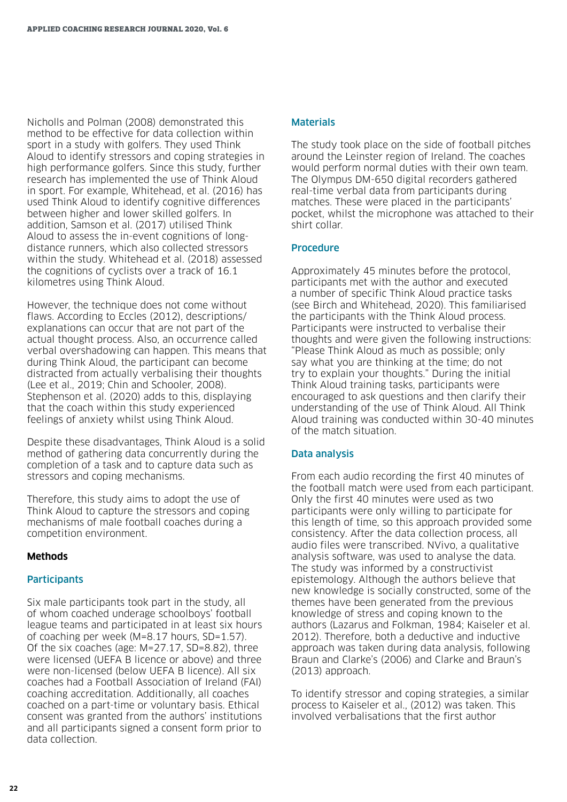Nicholls and Polman (2008) demonstrated this method to be effective for data collection within sport in a study with golfers. They used Think Aloud to identify stressors and coping strategies in high performance golfers. Since this study, further research has implemented the use of Think Aloud in sport. For example, Whitehead, et al. (2016) has used Think Aloud to identify cognitive differences between higher and lower skilled golfers. In addition, Samson et al. (2017) utilised Think Aloud to assess the in-event cognitions of longdistance runners, which also collected stressors within the study. Whitehead et al. (2018) assessed the cognitions of cyclists over a track of 16.1 kilometres using Think Aloud.

However, the technique does not come without flaws. According to Eccles (2012), descriptions/ explanations can occur that are not part of the actual thought process. Also, an occurrence called verbal overshadowing can happen. This means that during Think Aloud, the participant can become distracted from actually verbalising their thoughts (Lee et al., 2019; Chin and Schooler, 2008). Stephenson et al. (2020) adds to this, displaying that the coach within this study experienced feelings of anxiety whilst using Think Aloud.

Despite these disadvantages, Think Aloud is a solid method of gathering data concurrently during the completion of a task and to capture data such as stressors and coping mechanisms.

Therefore, this study aims to adopt the use of Think Aloud to capture the stressors and coping mechanisms of male football coaches during a competition environment.

#### **Methods**

#### **Participants**

Six male participants took part in the study, all of whom coached underage schoolboys' football league teams and participated in at least six hours of coaching per week (M=8.17 hours, SD=1.57). Of the six coaches (age: M=27.17, SD=8.82), three were licensed (UEFA B licence or above) and three were non-licensed (below UEFA B licence). All six coaches had a Football Association of Ireland (FAI) coaching accreditation. Additionally, all coaches coached on a part-time or voluntary basis. Ethical consent was granted from the authors' institutions and all participants signed a consent form prior to data collection.

#### Materials

The study took place on the side of football pitches around the Leinster region of Ireland. The coaches would perform normal duties with their own team. The Olympus DM-650 digital recorders gathered real-time verbal data from participants during matches. These were placed in the participants' pocket, whilst the microphone was attached to their shirt collar.

#### Procedure

Approximately 45 minutes before the protocol, participants met with the author and executed a number of specific Think Aloud practice tasks (see Birch and Whitehead, 2020). This familiarised the participants with the Think Aloud process. Participants were instructed to verbalise their thoughts and were given the following instructions: "Please Think Aloud as much as possible; only say what you are thinking at the time; do not try to explain your thoughts." During the initial Think Aloud training tasks, participants were encouraged to ask questions and then clarify their understanding of the use of Think Aloud. All Think Aloud training was conducted within 30-40 minutes of the match situation.

#### Data analysis

From each audio recording the first 40 minutes of the football match were used from each participant. Only the first 40 minutes were used as two participants were only willing to participate for this length of time, so this approach provided some consistency. After the data collection process, all audio files were transcribed. NVivo, a qualitative analysis software, was used to analyse the data. The study was informed by a constructivist epistemology. Although the authors believe that new knowledge is socially constructed, some of the themes have been generated from the previous knowledge of stress and coping known to the authors (Lazarus and Folkman, 1984; Kaiseler et al. 2012). Therefore, both a deductive and inductive approach was taken during data analysis, following Braun and Clarke's (2006) and Clarke and Braun's (2013) approach.

To identify stressor and coping strategies, a similar process to Kaiseler et al., (2012) was taken. This involved verbalisations that the first author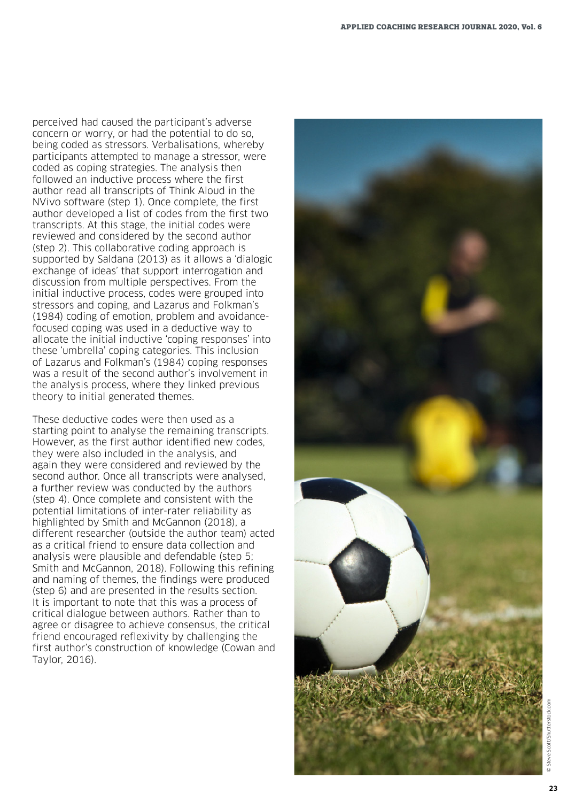perceived had caused the participant's adverse concern or worry, or had the potential to do so, being coded as stressors. Verbalisations, whereby participants attempted to manage a stressor, were coded as coping strategies. The analysis then followed an inductive process where the first author read all transcripts of Think Aloud in the NVivo software (step 1). Once complete, the first author developed a list of codes from the first two transcripts. At this stage, the initial codes were reviewed and considered by the second author (step 2). This collaborative coding approach is supported by Saldana (2013) as it allows a 'dialogic exchange of ideas' that support interrogation and discussion from multiple perspectives. From the initial inductive process, codes were grouped into stressors and coping, and Lazarus and Folkman's (1984) coding of emotion, problem and avoidancefocused coping was used in a deductive way to allocate the initial inductive 'coping responses' into these 'umbrella' coping categories. This inclusion of Lazarus and Folkman's (1984) coping responses was a result of the second author's involvement in the analysis process, where they linked previous theory to initial generated themes.

These deductive codes were then used as a starting point to analyse the remaining transcripts. However, as the first author identi fied new codes, they were also included in the analysis, and again they were considered and reviewed by the second author. Once all transcripts were analysed, a further review was conducted by the authors (step 4). Once complete and consistent with the potential limitations of inter-rater reliability as highlighted by Smith and McGannon (2018), a different researcher (outside the author team) acted as a critical friend to ensure data collection and analysis were plausible and defendable (step 5; Smith and McGannon, 2018). Following this re fining and naming of themes, the findings were produced (step 6) and are presented in the results section. It is important to note that this was a process of critical dialogue between authors. Rather than to agree or disagree to achieve consensus, the critical friend encouraged reflexivity by challenging the first author's construction of knowledge (Cowan and Taylor, 2016).

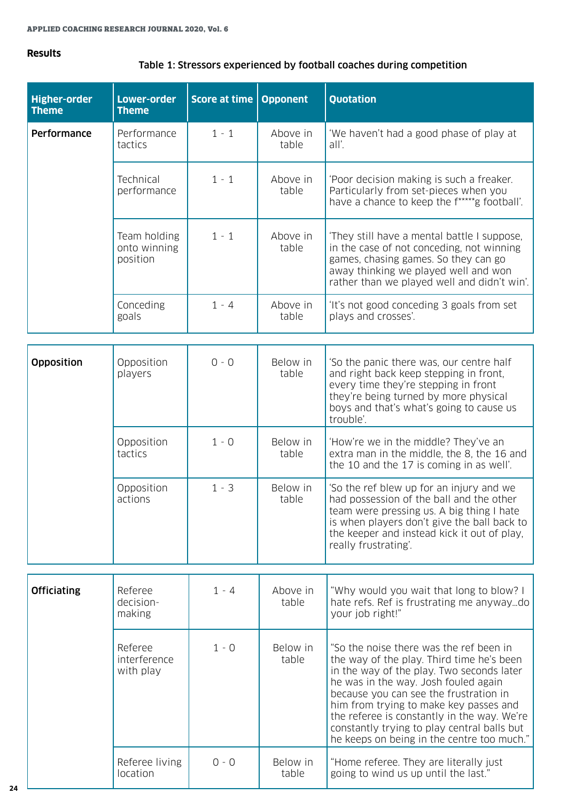#### **Results**

#### Table 1: Stressors experienced by football coaches during competition

| <b>Higher-order</b><br><b>Theme</b> | <b>Lower-order</b><br><b>Theme</b>       | <b>Score at time Opponent</b> |                   | Quotation                                                                                                                                                                                                                                               |
|-------------------------------------|------------------------------------------|-------------------------------|-------------------|---------------------------------------------------------------------------------------------------------------------------------------------------------------------------------------------------------------------------------------------------------|
| Performance                         | Performance<br>tactics                   | $1 - 1$                       | Above in<br>table | 'We haven't had a good phase of play at<br>all'.                                                                                                                                                                                                        |
|                                     | Technical<br>performance                 | $1 - 1$                       | Above in<br>table | 'Poor decision making is such a freaker.<br>Particularly from set-pieces when you<br>have a chance to keep the f*****g football'.                                                                                                                       |
|                                     | Team holding<br>onto winning<br>position | $1 - 1$                       | Above in<br>table | 'They still have a mental battle I suppose,<br>in the case of not conceding, not winning<br>games, chasing games. So they can go<br>away thinking we played well and won<br>rather than we played well and didn't win'.                                 |
|                                     | Conceding<br>goals                       | $1 - 4$                       | Above in<br>table | 'It's not good conceding 3 goals from set<br>plays and crosses'.                                                                                                                                                                                        |
| Opposition                          | Opposition<br>players                    | $0 - 0$                       | Below in<br>table | 'So the panic there was, our centre half<br>and right back keep stepping in front,<br>every time they're stepping in front<br>they're being turned by more physical<br>boys and that's what's going to cause us<br>trouble'.                            |
|                                     | Opposition<br>tactics                    | $1 - 0$                       | Below in<br>table | 'How're we in the middle? They've an<br>extra man in the middle, the 8, the 16 and<br>the 10 and the 17 is coming in as well'.                                                                                                                          |
|                                     | Opposition<br>actions                    | $1 - 3$                       | Below in<br>table | 'So the ref blew up for an injury and we<br>had possession of the ball and the other<br>team were pressing us. A big thing I hate<br>is when players don't give the ball back to<br>the keeper and instead kick it out of play,<br>really frustrating'. |
| <b>Officiating</b>                  | Referee<br>decision-                     | $1 - 4$                       | Above in<br>table | "Why would you wait that long to blow? I<br>hate refs. Ref is frustrating me anywaydo                                                                                                                                                                   |
|                                     | making                                   |                               |                   | your job right!"                                                                                                                                                                                                                                        |
|                                     | Referee<br>interference<br>with play     | $1 - 0$                       | Below in<br>table | "So the noise there was the ref been in<br>the way of the play. Third time he's been<br>in the way of the play. Two seconds later<br>he was in the way. Josh fouled again<br>because you can see the frustration in                                     |

0 - 0 Below in

table

him from trying to make key passes and the referee is constantly in the way. We're constantly trying to play central balls but he keeps on being in the centre too much."

"Home referee. They are literally just going to wind us up until the last."

Referee living location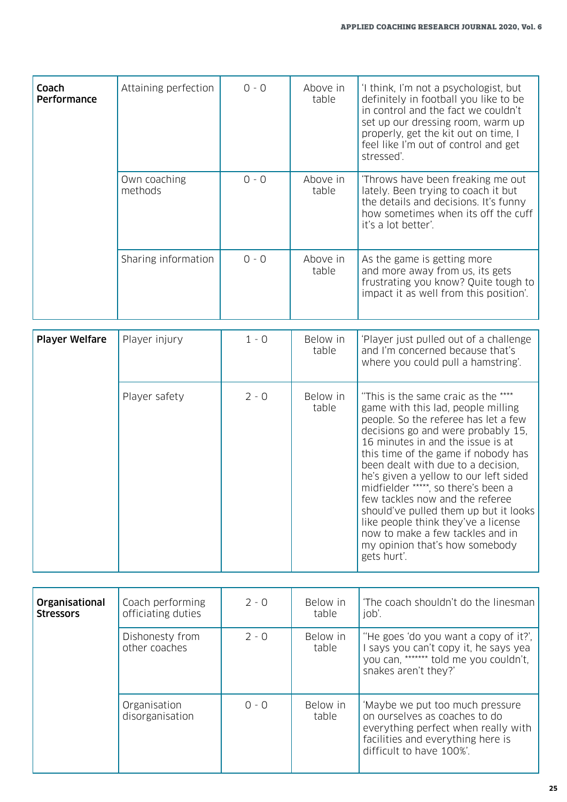| Coach<br>Performance  | Attaining perfection    | $0 - 0$ | Above in<br>table | 'I think, I'm not a psychologist, but<br>definitely in football you like to be<br>in control and the fact we couldn't<br>set up our dressing room, warm up<br>properly, get the kit out on time, I<br>feel like I'm out of control and get<br>stressed'. |
|-----------------------|-------------------------|---------|-------------------|----------------------------------------------------------------------------------------------------------------------------------------------------------------------------------------------------------------------------------------------------------|
|                       | Own coaching<br>methods | $0 - 0$ | Above in<br>table | 'Throws have been freaking me out<br>lately. Been trying to coach it but<br>the details and decisions. It's funny<br>how sometimes when its off the cuff<br>it's a lot better'.                                                                          |
|                       | Sharing information     | $0 - 0$ | Above in<br>table | As the game is getting more<br>and more away from us, its gets<br>frustrating you know? Quite tough to<br>impact it as well from this position'.                                                                                                         |
| <b>Player Welfare</b> | Player injury           | $1 - 0$ | Below in          | 'Player just pulled out of a challenge                                                                                                                                                                                                                   |
|                       |                         |         | table             | and I'm concerned because that's<br>where you could pull a hamstring'.                                                                                                                                                                                   |
|                       | Player safety           | $2 - 0$ | Below in<br>table | "This is the same craic as the ****<br>game with this lad, people milling<br>people. So the referee has let a few<br>decisions go and were probably 15,<br>$10$ minutes in and the issue is at                                                           |

| Player safety | $2 - 0$ | Below in<br>table | "This is the same craic as the ****<br>game with this lad, people milling<br>people. So the referee has let a few<br>decisions go and were probably 15.<br>16 minutes in and the issue is at<br>this time of the game if nobody has<br>been dealt with due to a decision.<br>he's given a yellow to our left sided<br>midfielder *****, so there's been a<br>few tackles now and the referee<br>should've pulled them up but it looks<br>like people think they've a license<br>now to make a few tackles and in<br>my opinion that's how somebody<br>gets hurt'. |
|---------------|---------|-------------------|-------------------------------------------------------------------------------------------------------------------------------------------------------------------------------------------------------------------------------------------------------------------------------------------------------------------------------------------------------------------------------------------------------------------------------------------------------------------------------------------------------------------------------------------------------------------|

| Organisational<br><b>Stressors</b> | Coach performing<br>officiating duties | $2 - 0$ | Below in<br>table | 'The coach shouldn't do the linesman<br>job'.                                                                                                                            |
|------------------------------------|----------------------------------------|---------|-------------------|--------------------------------------------------------------------------------------------------------------------------------------------------------------------------|
|                                    | Dishonesty from<br>other coaches       | $2 - 0$ | Below in<br>table | "He goes 'do you want a copy of it?',<br>I says you can't copy it, he says yea<br>you can, ******* told me you couldn't,<br>snakes aren't they?'                         |
|                                    | Organisation<br>disorganisation        | $0 - 0$ | Below in<br>table | 'Maybe we put too much pressure<br>on ourselves as coaches to do<br>everything perfect when really with<br>facilities and everything here is<br>difficult to have 100%'. |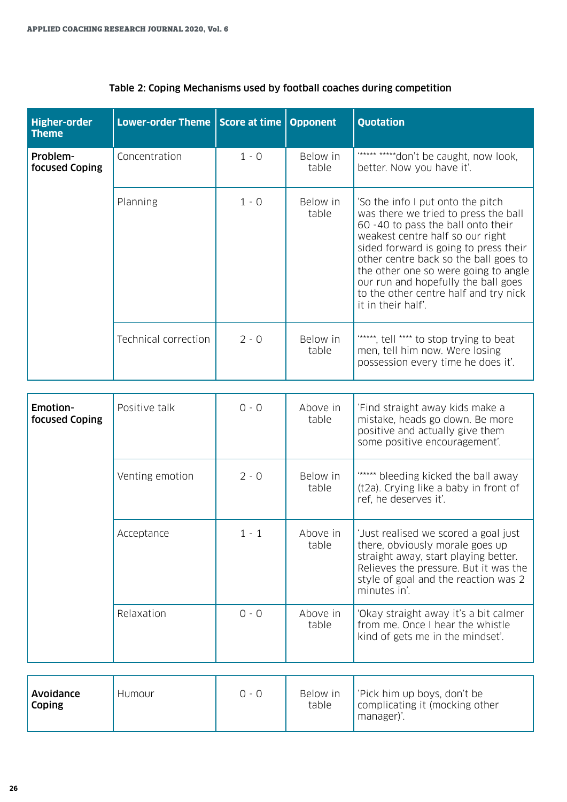| <b>Higher-order</b><br><b>Theme</b> | Lower-order Theme   Score at time   Opponent |         |                   | <b>Quotation</b>                                                                                                                                                                                                                                                                                                                                                                    |
|-------------------------------------|----------------------------------------------|---------|-------------------|-------------------------------------------------------------------------------------------------------------------------------------------------------------------------------------------------------------------------------------------------------------------------------------------------------------------------------------------------------------------------------------|
| Problem-<br>focused Coping          | Concentration                                | $1 - 0$ | Below in<br>table | "***** *****don't be caught, now look,<br>better. Now you have it'.                                                                                                                                                                                                                                                                                                                 |
|                                     | Planning                                     | $1 - 0$ | Below in<br>table | 'So the info I put onto the pitch<br>was there we tried to press the ball<br>60 -40 to pass the ball onto their<br>weakest centre half so our right<br>sided forward is going to press their<br>other centre back so the ball goes to<br>the other one so were going to angle<br>our run and hopefully the ball goes<br>to the other centre half and try nick<br>it in their half'. |
|                                     | Technical correction                         | $2 - 0$ | Below in<br>table | "*****, tell **** to stop trying to beat<br>men, tell him now. Were losing<br>possession every time he does it'.                                                                                                                                                                                                                                                                    |

## Table 2: Coping Mechanisms used by football coaches during competition

| Emotion-<br>focused Coping | Positive talk   | $0 - 0$ | Above in<br>table | 'Find straight away kids make a<br>mistake, heads go down. Be more<br>positive and actually give them<br>some positive encouragement'.                                                                           |
|----------------------------|-----------------|---------|-------------------|------------------------------------------------------------------------------------------------------------------------------------------------------------------------------------------------------------------|
|                            | Venting emotion | $2 - 0$ | Below in<br>table | "***** bleeding kicked the ball away<br>(t2a). Crying like a baby in front of<br>ref, he deserves it'.                                                                                                           |
|                            | Acceptance      | $1 - 1$ | Above in<br>table | 'Just realised we scored a goal just<br>there, obviously morale goes up<br>straight away, start playing better.<br>Relieves the pressure. But it was the<br>style of goal and the reaction was 2<br>minutes in'. |
|                            | Relaxation      | $0 - 0$ | Above in<br>table | 'Okay straight away it's a bit calmer<br>from me. Once I hear the whistle<br>kind of gets me in the mindset'.                                                                                                    |

| Avoidance<br>Humour<br>Coping | 0 - 0 | Below in<br>table | l'Pick him up boys, don't be<br>complicating it (mocking other<br>manager). |
|-------------------------------|-------|-------------------|-----------------------------------------------------------------------------|
|-------------------------------|-------|-------------------|-----------------------------------------------------------------------------|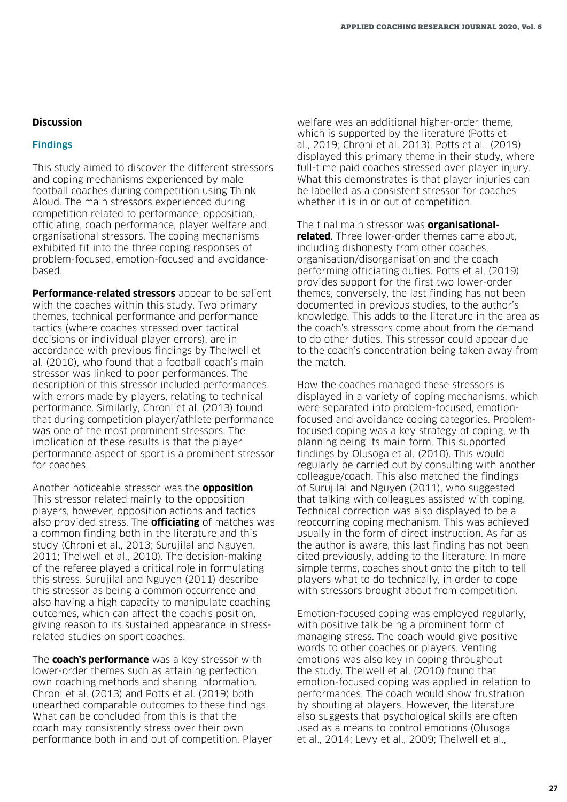#### **Discussion**

#### Findings

This study aimed to discover the different stressors and coping mechanisms experienced by male football coaches during competition using Think Aloud. The main stressors experienced during competition related to performance, opposition, officiating, coach performance, player welfare and organisational stressors. The coping mechanisms exhibited fit into the three coping responses of problem-focused, emotion-focused and avoidancebased.

**Performance-related stressors** appear to be salient with the coaches within this study. Two primary themes, technical performance and performance tactics (where coaches stressed over tactical decisions or individual player errors), are in accordance with previous findings by Thelwell et al. (2010), who found that a football coach's main stressor was linked to poor performances. The description of this stressor included performances with errors made by players, relating to technical performance. Similarly, Chroni et al. (2013) found that during competition player/athlete performance was one of the most prominent stressors. The implication of these results is that the player performance aspect of sport is a prominent stressor for coaches.

Another noticeable stressor was the **opposition**. This stressor related mainly to the opposition players, however, opposition actions and tactics also provided stress. The **officiating** of matches was a common finding both in the literature and this study (Chroni et al., 2013; Surujilal and Nguyen, 2011; Thelwell et al., 2010). The decision-making of the referee played a critical role in formulating this stress. Surujilal and Nguyen (2011) describe this stressor as being a common occurrence and also having a high capacity to manipulate coaching outcomes, which can affect the coach's position, giving reason to its sustained appearance in stressrelated studies on sport coaches.

The **coach's performance** was a key stressor with lower-order themes such as attaining perfection, own coaching methods and sharing information. Chroni et al. (2013) and Potts et al. (2019) both unearthed comparable outcomes to these findings. What can be concluded from this is that the coach may consistently stress over their own performance both in and out of competition. Player welfare was an additional higher-order theme, which is supported by the literature (Potts et al., 2019; Chroni et al. 2013). Potts et al., (2019) displayed this primary theme in their study, where full-time paid coaches stressed over player injury. What this demonstrates is that player injuries can be labelled as a consistent stressor for coaches whether it is in or out of competition.

The final main stressor was **organisationalrelated**. Three lower-order themes came about, including dishonesty from other coaches, organisation/disorganisation and the coach performing officiating duties. Potts et al. (2019) provides support for the first two lower-order themes, conversely, the last finding has not been documented in previous studies, to the author's knowledge. This adds to the literature in the area as the coach's stressors come about from the demand to do other duties. This stressor could appear due to the coach's concentration being taken away from the match.

How the coaches managed these stressors is displayed in a variety of coping mechanisms, which were separated into problem-focused, emotionfocused and avoidance coping categories. Problemfocused coping was a key strategy of coping, with planning being its main form. This supported findings by Olusoga et al. (2010). This would regularly be carried out by consulting with another colleague/coach. This also matched the findings of Surujilal and Nguyen (2011), who suggested that talking with colleagues assisted with coping. Technical correction was also displayed to be a reoccurring coping mechanism. This was achieved usually in the form of direct instruction. As far as the author is aware, this last finding has not been cited previously, adding to the literature. In more simple terms, coaches shout onto the pitch to tell players what to do technically, in order to cope with stressors brought about from competition.

Emotion-focused coping was employed regularly, with positive talk being a prominent form of managing stress. The coach would give positive words to other coaches or players. Venting emotions was also key in coping throughout the study. Thelwell et al. (2010) found that emotion-focused coping was applied in relation to performances. The coach would show frustration by shouting at players. However, the literature also suggests that psychological skills are often used as a means to control emotions (Olusoga et al., 2014; Levy et al., 2009; Thelwell et al.,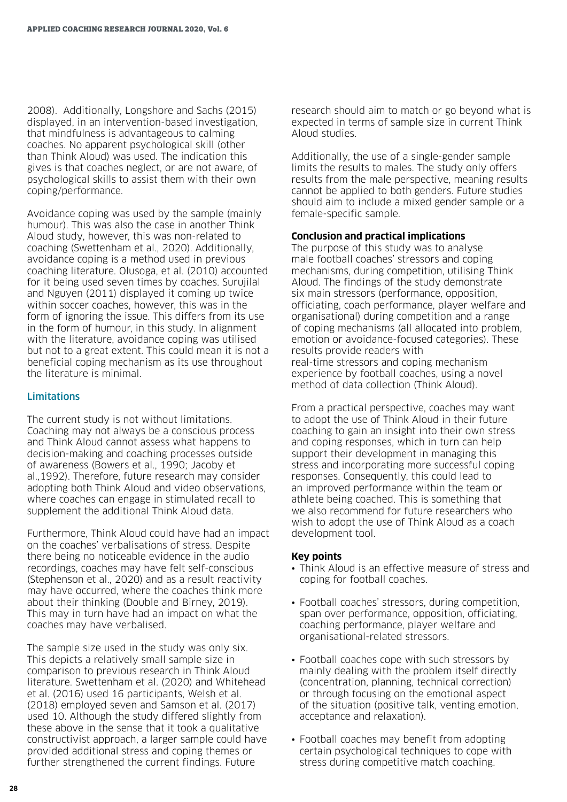2008). Additionally, Longshore and Sachs (2015) displayed, in an intervention-based investigation, that mindfulness is advantageous to calming coaches. No apparent psychological skill (other than Think Aloud) was used. The indication this gives is that coaches neglect, or are not aware, of psychological skills to assist them with their own coping/performance.

Avoidance coping was used by the sample (mainly humour). This was also the case in another Think Aloud study, however, this was non-related to coaching (Swettenham et al., 2020). Additionally, avoidance coping is a method used in previous coaching literature. Olusoga, et al. (2010) accounted for it being used seven times by coaches. Surujilal and Nguyen (2011) displayed it coming up twice within soccer coaches, however, this was in the form of ignoring the issue. This differs from its use in the form of humour, in this study. In alignment with the literature, avoidance coping was utilised but not to a great extent. This could mean it is not a beneficial coping mechanism as its use throughout the literature is minimal.

#### **Limitations**

The current study is not without limitations. Coaching may not always be a conscious process and Think Aloud cannot assess what happens to decision-making and coaching processes outside of awareness (Bowers et al., 1990; Jacoby et al.,1992). Therefore, future research may consider adopting both Think Aloud and video observations, where coaches can engage in stimulated recall to supplement the additional Think Aloud data.

Furthermore, Think Aloud could have had an impact on the coaches' verbalisations of stress. Despite there being no noticeable evidence in the audio recordings, coaches may have felt self-conscious (Stephenson et al., 2020) and as a result reactivity may have occurred, where the coaches think more about their thinking (Double and Birney, 2019). This may in turn have had an impact on what the coaches may have verbalised.

The sample size used in the study was only six. This depicts a relatively small sample size in comparison to previous research in Think Aloud literature. Swettenham et al. (2020) and Whitehead et al. (2016) used 16 participants, Welsh et al. (2018) employed seven and Samson et al. (2017) used 10. Although the study differed slightly from these above in the sense that it took a qualitative constructivist approach, a larger sample could have provided additional stress and coping themes or further strengthened the current findings. Future

research should aim to match or go beyond what is expected in terms of sample size in current Think Aloud studies.

Additionally, the use of a single-gender sample limits the results to males. The study only offers results from the male perspective, meaning results cannot be applied to both genders. Future studies should aim to include a mixed gender sample or a female-specific sample.

#### **Conclusion and practical implications**

The purpose of this study was to analyse male football coaches' stressors and coping mechanisms, during competition, utilising Think Aloud. The findings of the study demonstrate six main stressors (performance, opposition, officiating, coach performance, player welfare and organisational) during competition and a range of coping mechanisms (all allocated into problem, emotion or avoidance-focused categories). These results provide readers with real-time stressors and coping mechanism experience by football coaches, using a novel method of data collection (Think Aloud).

From a practical perspective, coaches may want to adopt the use of Think Aloud in their future coaching to gain an insight into their own stress and coping responses, which in turn can help support their development in managing this stress and incorporating more successful coping responses. Consequently, this could lead to an improved performance within the team or athlete being coached. This is something that we also recommend for future researchers who wish to adopt the use of Think Aloud as a coach development tool.

#### **Key points**

- Think Aloud is an effective measure of stress and coping for football coaches.
- Football coaches' stressors, during competition, span over performance, opposition, officiating, coaching performance, player welfare and organisational-related stressors.
- Football coaches cope with such stressors by mainly dealing with the problem itself directly (concentration, planning, technical correction) or through focusing on the emotional aspect of the situation (positive talk, venting emotion, acceptance and relaxation).
- Football coaches may benefit from adopting certain psychological techniques to cope with stress during competitive match coaching.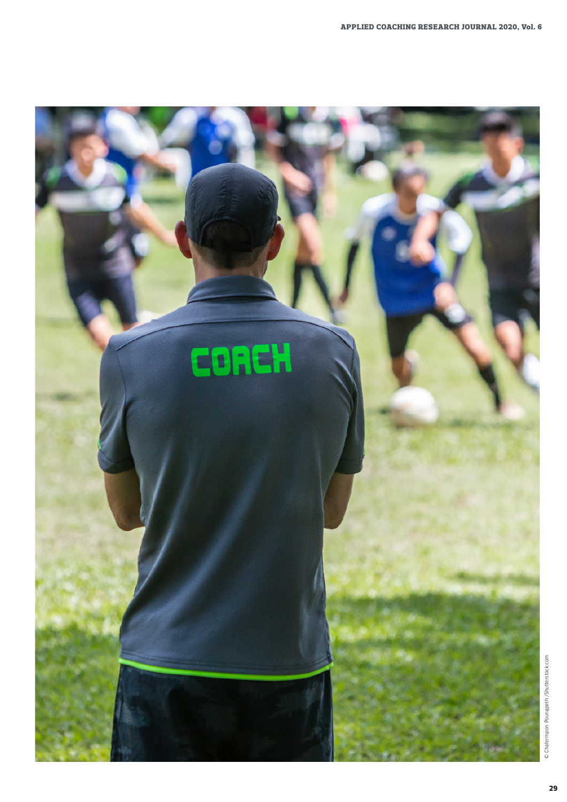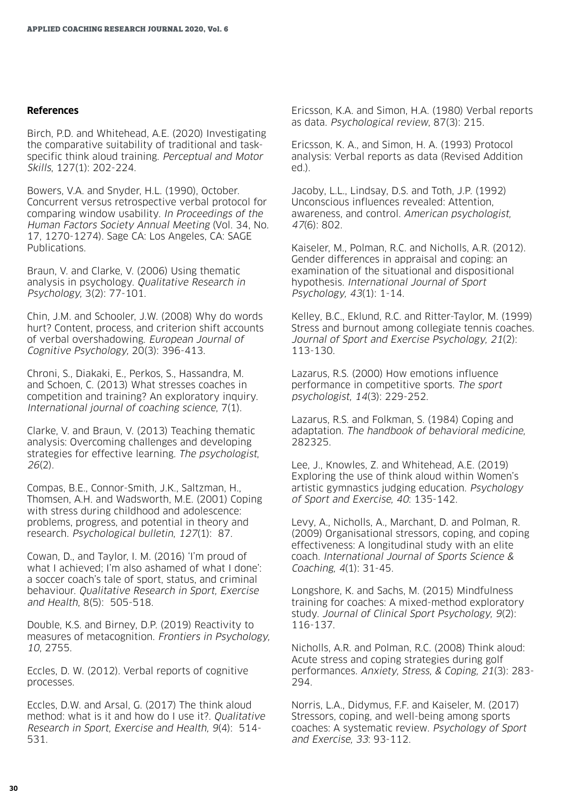#### **References**

Birch, P.D. and Whitehead, A.E. (2020) Investigating the comparative suitability of traditional and taskspecific think aloud training. Perceptual and Motor Skills, 127(1): 202-224.

Bowers, V.A. and Snyder, H.L. (1990), October. Concurrent versus retrospective verbal protocol for comparing window usability. In Proceedings of the Human Factors Society Annual Meeting (Vol. 34, No. 17, 1270-1274). Sage CA: Los Angeles, CA: SAGE Publications.

Braun, V. and Clarke, V. (2006) Using thematic analysis in psychology. Qualitative Research in Psychology, 3(2): 77-101.

Chin, J.M. and Schooler, J.W. (2008) Why do words hurt? Content, process, and criterion shift accounts of verbal overshadowing. European Journal of Cognitive Psychology, 20(3): 396-413.

Chroni, S., Diakaki, E., Perkos, S., Hassandra, M. and Schoen, C. (2013) What stresses coaches in competition and training? An exploratory inquiry. International journal of coaching science, 7(1).

Clarke, V. and Braun, V. (2013) Teaching thematic analysis: Overcoming challenges and developing strategies for effective learning. The psychologist, 26(2).

Compas, B.E., Connor-Smith, J.K., Saltzman, H., Thomsen, A.H. and Wadsworth, M.E. (2001) Coping with stress during childhood and adolescence: problems, progress, and potential in theory and research. Psychological bulletin, 127(1): 87.

Cowan, D., and Taylor, I. M. (2016) 'I'm proud of what I achieved; I'm also ashamed of what I done': a soccer coach's tale of sport, status, and criminal behaviour. Qualitative Research in Sport, Exercise and Health, 8(5): 505-518.

Double, K.S. and Birney, D.P. (2019) Reactivity to measures of metacognition. Frontiers in Psychology, 10, 2755.

Eccles, D. W. (2012). Verbal reports of cognitive processes.

Eccles, D.W. and Arsal, G. (2017) The think aloud method: what is it and how do I use it?. Qualitative Research in Sport, Exercise and Health, 9(4): 514- 531.

Ericsson, K.A. and Simon, H.A. (1980) Verbal reports as data. Psychological review, 87(3): 215.

Ericsson, K. A., and Simon, H. A. (1993) Protocol analysis: Verbal reports as data (Revised Addition ed.).

Jacoby, L.L., Lindsay, D.S. and Toth, J.P. (1992) Unconscious influences revealed: Attention, awareness, and control. American psychologist, 47(6): 802.

Kaiseler, M., Polman, R.C. and Nicholls, A.R. (2012). Gender differences in appraisal and coping: an examination of the situational and dispositional hypothesis. International Journal of Sport Psychology, 43(1): 1-14.

Kelley, B.C., Eklund, R.C. and Ritter-Taylor, M. (1999) Stress and burnout among collegiate tennis coaches. Journal of Sport and Exercise Psychology, 21(2): 113-130.

Lazarus, R.S. (2000) How emotions influence performance in competitive sports. The sport psychologist, 14(3): 229-252.

Lazarus, R.S. and Folkman, S. (1984) Coping and adaptation. The handbook of behavioral medicine, 282325.

Lee, J., Knowles, Z. and Whitehead, A.E. (2019) Exploring the use of think aloud within Women's artistic gymnastics judging education. Psychology of Sport and Exercise, 40: 135-142.

Levy, A., Nicholls, A., Marchant, D. and Polman, R. (2009) Organisational stressors, coping, and coping effectiveness: A longitudinal study with an elite coach. International Journal of Sports Science & Coaching, 4(1): 31-45.

Longshore, K. and Sachs, M. (2015) Mindfulness training for coaches: A mixed-method exploratory study. Journal of Clinical Sport Psychology, 9(2): 116-137.

Nicholls, A.R. and Polman, R.C. (2008) Think aloud: Acute stress and coping strategies during golf performances. Anxiety, Stress, & Coping, 21(3): 283- 294.

Norris, L.A., Didymus, F.F. and Kaiseler, M. (2017) Stressors, coping, and well-being among sports coaches: A systematic review. Psychology of Sport and Exercise, 33: 93-112.